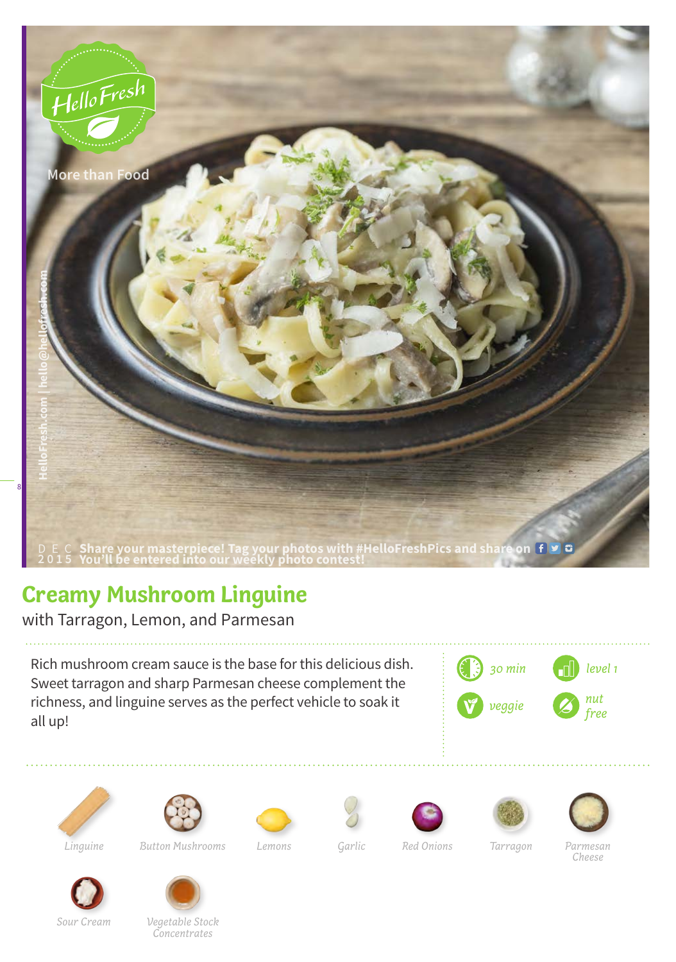

## **Creamy Mushroom Linguine**

with Tarragon, Lemon, and Parmesan

Rich mushroom cream sauce is the base for this delicious dish. Sweet tarragon and sharp Parmesan cheese complement the richness, and linguine serves as the perfect vehicle to soak it all up!





*Linguine Button Mushrooms Lemons Garlic Red Onions Tarragon Parmesan* 









*Cheese*



*Vegetable Stock* 

*Concentrates*